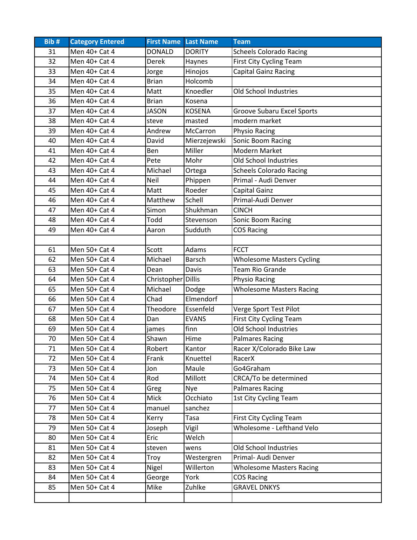| Bib# | <b>Category Entered</b> | <b>First Name Last Name</b> |               | <b>Team</b>                       |
|------|-------------------------|-----------------------------|---------------|-----------------------------------|
| 31   | Men 40+ Cat 4           | <b>DONALD</b>               | <b>DORITY</b> | <b>Scheels Colorado Racing</b>    |
| 32   | Men 40+ Cat 4           | Derek                       | Haynes        | First City Cycling Team           |
| 33   | Men 40+ Cat 4           | Jorge                       | Hinojos       | Capital Gainz Racing              |
| 34   | Men 40+ Cat 4           | <b>Brian</b>                | Holcomb       |                                   |
| 35   | Men 40+ Cat 4           | Matt                        | Knoedler      | <b>Old School Industries</b>      |
| 36   | Men 40+ Cat 4           | <b>Brian</b>                | Kosena        |                                   |
| 37   | Men 40+ Cat 4           | <b>JASON</b>                | <b>KOSENA</b> | <b>Groove Subaru Excel Sports</b> |
| 38   | Men 40+ Cat 4           | steve                       | masted        | modern market                     |
| 39   | Men 40+ Cat 4           | Andrew                      | McCarron      | Physio Racing                     |
| 40   | Men 40+ Cat 4           | David                       | Mierzejewski  | Sonic Boom Racing                 |
| 41   | Men 40+ Cat 4           | Ben                         | Miller        | Modern Market                     |
| 42   | Men 40+ Cat 4           | Pete                        | Mohr          | Old School Industries             |
| 43   | Men 40+ Cat 4           | Michael                     | Ortega        | <b>Scheels Colorado Racing</b>    |
| 44   | Men 40+ Cat 4           | Neil                        | Phippen       | Primal - Audi Denver              |
| 45   | Men 40+ Cat 4           | Matt                        | Roeder        | Capital Gainz                     |
| 46   | Men 40+ Cat 4           | Matthew                     | Schell        | Primal-Audi Denver                |
| 47   | Men 40+ Cat 4           | Simon                       | Shukhman      | <b>CINCH</b>                      |
| 48   | Men 40+ Cat 4           | Todd                        | Stevenson     | Sonic Boom Racing                 |
| 49   | Men 40+ Cat 4           | Aaron                       | Sudduth       | <b>COS Racing</b>                 |
|      |                         |                             |               |                                   |
| 61   | Men 50+ Cat 4           | Scott                       | Adams         | <b>FCCT</b>                       |
| 62   | Men 50+ Cat 4           | Michael                     | <b>Barsch</b> | <b>Wholesome Masters Cycling</b>  |
| 63   | Men 50+ Cat 4           | Dean                        | Davis         | <b>Team Rio Grande</b>            |
| 64   | Men 50+ Cat 4           | Christopher Dillis          |               | Physio Racing                     |
| 65   | Men 50+ Cat 4           | Michael                     | Dodge         | <b>Wholesome Masters Racing</b>   |
| 66   | Men 50+ Cat 4           | Chad                        | Elmendorf     |                                   |
| 67   | Men 50+ Cat 4           | Theodore                    | Essenfeld     | Verge Sport Test Pilot            |
| 68   | Men 50+ Cat 4           | Dan                         | <b>EVANS</b>  | First City Cycling Team           |
| 69   | Men 50+ Cat 4           | james                       | finn          | Old School Industries             |
| 70   | Men 50+ Cat 4           | Shawn                       | Hime          | <b>Palmares Racing</b>            |
| 71   | Men 50+ Cat 4           | Robert                      | Kantor        | Racer X/Colorado Bike Law         |
| 72   | Men 50+ Cat 4           | Frank                       | Knuettel      | RacerX                            |
| 73   | Men 50+ Cat 4           | Jon                         | Maule         | Go4Graham                         |
| 74   | Men 50+ Cat 4           | Rod                         | Millott       | CRCA/To be determined             |
| 75   | Men 50+ Cat 4           | Greg                        | Nye           | <b>Palmares Racing</b>            |
| 76   | Men 50+ Cat 4           | Mick                        | Occhiato      | 1st City Cycling Team             |
| 77   | Men 50+ Cat 4           | manuel                      | sanchez       |                                   |
| 78   | Men 50+ Cat 4           | Kerry                       | Tasa          | <b>First City Cycling Team</b>    |
| 79   | Men 50+ Cat 4           | Joseph                      | Vigil         | Wholesome - Lefthand Velo         |
| 80   | Men 50+ Cat 4           | Eric                        | Welch         |                                   |
| 81   | Men 50+ Cat 4           | steven                      | wens          | Old School Industries             |
| 82   | Men 50+ Cat 4           | Troy                        | Westergren    | Primal- Audi Denver               |
| 83   | Men 50+ Cat 4           | Nigel                       | Willerton     | <b>Wholesome Masters Racing</b>   |
| 84   | Men 50+ Cat 4           | George                      | York          | <b>COS Racing</b>                 |
| 85   | Men 50+ Cat 4           | Mike                        | Zuhlke        | <b>GRAVEL DNKYS</b>               |
|      |                         |                             |               |                                   |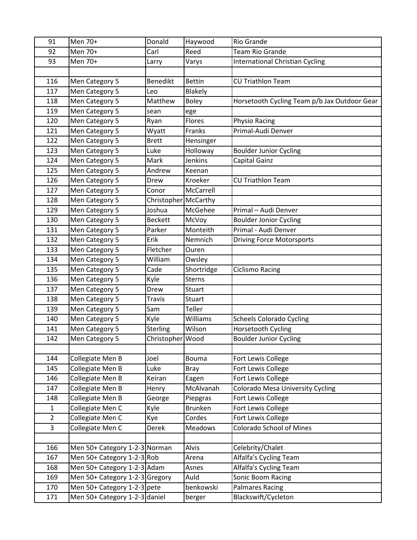| 91             | Men 70+                        | Donald               | Haywood        | Rio Grande                                   |
|----------------|--------------------------------|----------------------|----------------|----------------------------------------------|
| 92             | Men 70+                        | Carl                 | Reed           | <b>Team Rio Grande</b>                       |
| 93             | Men 70+                        | Larry                | Varys          | International Christian Cycling              |
|                |                                |                      |                |                                              |
| 116            | Men Category 5                 | <b>Benedikt</b>      | <b>Bettin</b>  | <b>CU Triathlon Team</b>                     |
| 117            | Men Category 5                 | Leo                  | Blakely        |                                              |
| 118            | Men Category 5                 | Matthew              | <b>Boley</b>   | Horsetooth Cycling Team p/b Jax Outdoor Gear |
| 119            | Men Category 5                 | sean                 | ege            |                                              |
| 120            | Men Category 5                 | Ryan                 | Flores         | <b>Physio Racing</b>                         |
| 121            | Men Category 5                 | Wyatt                | Franks         | Primal-Audi Denver                           |
| 122            | Men Category 5                 | <b>Brett</b>         | Hensinger      |                                              |
| 123            | Men Category 5                 | Luke                 | Holloway       | <b>Boulder Junior Cycling</b>                |
| 124            | Men Category 5                 | Mark                 | Jenkins        | Capital Gainz                                |
| 125            | Men Category 5                 | Andrew               | Keenan         |                                              |
| 126            | Men Category 5                 | Drew                 | Kroeker        | <b>CU Triathlon Team</b>                     |
| 127            | Men Category 5                 | Conor                | McCarrell      |                                              |
| 128            | Men Category 5                 | Christopher McCarthy |                |                                              |
| 129            | Men Category 5                 | Joshua               | McGehee        | Primal - Audi Denver                         |
| 130            | Men Category 5                 | <b>Beckett</b>       | McVoy          | <b>Boulder Jonior Cycling</b>                |
| 131            | Men Category 5                 | Parker               | Monteith       | Primal - Audi Denver                         |
| 132            | Men Category 5                 | Erik                 | Nemnich        | <b>Driving Force Motorsports</b>             |
| 133            | Men Category 5                 | Fletcher             | Ouren          |                                              |
| 134            | Men Category 5                 | William              | Owsley         |                                              |
| 135            | Men Category 5                 | Cade                 | Shortridge     | <b>Ciclismo Racing</b>                       |
| 136            | Men Category 5                 | Kyle                 | <b>Sterns</b>  |                                              |
| 137            | Men Category 5                 | Drew                 | Stuart         |                                              |
| 138            | Men Category 5                 | Travis               | <b>Stuart</b>  |                                              |
| 139            | Men Category 5                 | Sam                  | Teller         |                                              |
| 140            | Men Category 5                 | Kyle                 | Williams       | <b>Scheels Colorado Cycling</b>              |
| 141            | Men Category 5                 | Sterling             | Wilson         | Horsetooth Cycling                           |
| 142            | Men Category 5                 | Christopher Wood     |                | <b>Boulder Junior Cycling</b>                |
|                |                                |                      |                |                                              |
| 144            | Collegiate Men B               | Joel                 | <b>Bouma</b>   | Fort Lewis College                           |
| 145            | Collegiate Men B               | Luke                 | Bray           | Fort Lewis College                           |
| 146            | Collegiate Men B               | Keiran               | Eagen          | Fort Lewis College                           |
| 147            | Collegiate Men B               | Henry                | McAlvanah      | <b>Colorado Mesa University Cycling</b>      |
| 148            | Collegiate Men B               | George               | Piepgras       | Fort Lewis College                           |
| $\mathbf{1}$   | Collegiate Men C               | Kyle                 | <b>Brunken</b> | Fort Lewis College                           |
| $\overline{2}$ | Collegiate Men C               | Kye                  | Cordes         | Fort Lewis College                           |
| 3              | Collegiate Men C               | Derek                | <b>Meadows</b> | <b>Colorado School of Mines</b>              |
|                |                                |                      |                |                                              |
| 166            | Men 50+ Category 1-2-3 Norman  |                      | Alvis          | Celebrity/Chalet                             |
| 167            | Men 50+ Category 1-2-3 Rob     |                      | Arena          | Alfalfa's Cycling Team                       |
| 168            | Men 50+ Category 1-2-3 Adam    |                      | Asnes          | Alfalfa's Cycling Team                       |
| 169            | Men 50+ Category 1-2-3 Gregory |                      | Auld           | Sonic Boom Racing                            |
| 170            | Men 50+ Category 1-2-3 pete    |                      | benkowski      | <b>Palmares Racing</b>                       |
| 171            | Men 50+ Category 1-2-3 daniel  |                      | berger         | Blackswift/Cycleton                          |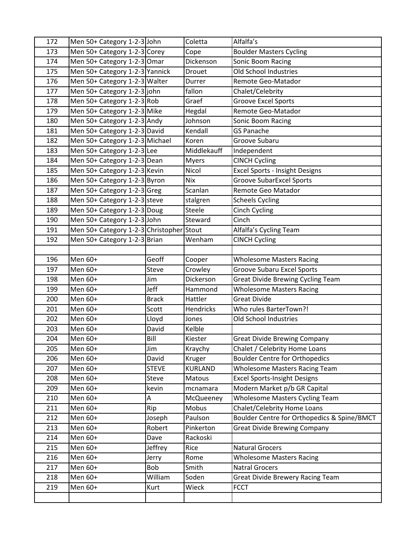| 172 | Men 50+ Category 1-2-3 John              |              | Coletta        | Alfalfa's                                   |
|-----|------------------------------------------|--------------|----------------|---------------------------------------------|
| 173 | Men 50+ Category 1-2-3 Corey             |              | Cope           | <b>Boulder Masters Cycling</b>              |
| 174 | Men 50+ Category 1-2-3 Omar              |              | Dickenson      | Sonic Boom Racing                           |
| 175 | Men 50+ Category 1-2-3 Yannick           |              | Drouet         | Old School Industries                       |
| 176 | Men 50+ Category 1-2-3 Walter            |              | Durrer         | Remote Geo-Matador                          |
| 177 | Men 50+ Category 1-2-3 john              |              | fallon         | Chalet/Celebrity                            |
| 178 | Men 50+ Category 1-2-3 Rob               |              | Graef          | <b>Groove Excel Sports</b>                  |
| 179 | Men 50+ Category 1-2-3 Mike              |              | Hegdal         | Remote Geo-Matador                          |
| 180 | Men 50+ Category 1-2-3 Andy              |              | Johnson        | Sonic Boom Racing                           |
| 181 | Men 50+ Category 1-2-3 David             |              | Kendall        | <b>GS Panache</b>                           |
| 182 | Men 50+ Category 1-2-3 Michael           |              | Koren          | Groove Subaru                               |
| 183 | Men 50+ Category 1-2-3 Lee               |              | Middlekauff    | Independent                                 |
| 184 | Men 50+ Category 1-2-3 Dean              |              | <b>Myers</b>   | <b>CINCH Cycling</b>                        |
| 185 | Men 50+ Category 1-2-3 Kevin             |              | Nicol          | Excel Sports - Insight Designs              |
| 186 | Men 50+ Category 1-2-3 Byron             |              | <b>Nix</b>     | <b>Groove SubarExcel Sports</b>             |
| 187 | Men 50+ Category 1-2-3 Greg              |              | Scanlan        | Remote Geo Matador                          |
| 188 | Men 50+ Category 1-2-3 steve             |              | stalgren       | <b>Scheels Cycling</b>                      |
| 189 | Men 50+ Category 1-2-3 Doug              |              | Steele         | <b>Cinch Cycling</b>                        |
| 190 | Men 50+ Category 1-2-3 John              |              | Steward        | Cinch                                       |
| 191 | Men 50+ Category 1-2-3 Christopher Stout |              |                | Alfalfa's Cycling Team                      |
| 192 | Men 50+ Category 1-2-3 Brian             |              | Wenham         | <b>CINCH Cycling</b>                        |
|     |                                          |              |                |                                             |
| 196 | Men 60+                                  | Geoff        | Cooper         | <b>Wholesome Masters Racing</b>             |
| 197 | Men 60+                                  | <b>Steve</b> | Crowley        | <b>Groove Subaru Excel Sports</b>           |
| 198 | Men 60+                                  | Jim          | Dickerson      | <b>Great Divide Brewing Cycling Team</b>    |
| 199 | Men 60+                                  | Jeff         | Hammond        | <b>Wholesome Masters Racing</b>             |
| 200 | Men 60+                                  | <b>Brack</b> | Hattler        | <b>Great Divide</b>                         |
| 201 | Men 60+                                  | Scott        | Hendricks      | Who rules BarterTown?!                      |
| 202 | Men 60+                                  | Lloyd        | Jones          | Old School Industries                       |
| 203 | Men 60+                                  | David        | Kelble         |                                             |
| 204 | Men 60+                                  | Bill         | Kiester        | <b>Great Divide Brewing Company</b>         |
| 205 | Men 60+                                  | Jim          | Kraychy        | Chalet / Celebrity Home Loans               |
| 206 | Men 60+                                  | David        | Kruger         | <b>Boulder Centre for Orthopedics</b>       |
| 207 | Men 60+                                  | <b>STEVE</b> | <b>KURLAND</b> | <b>Wholesome Masters Racing Team</b>        |
| 208 | Men 60+                                  | Steve        | Matous         | <b>Excel Sports-Insight Designs</b>         |
| 209 | Men 60+                                  | kevin        | mcnamara       | Modern Market p/b GR Capital                |
| 210 | Men 60+                                  | Α            | McQueeney      | <b>Wholesome Masters Cycling Team</b>       |
| 211 | Men 60+                                  | Rip          | Mobus          | Chalet/Celebrity Home Loans                 |
| 212 | Men 60+                                  | Joseph       | Paulson        | Boulder Centre for Orthopedics & Spine/BMCT |
| 213 | Men 60+                                  | Robert       | Pinkerton      | <b>Great Divide Brewing Company</b>         |
| 214 | Men 60+                                  | Dave         | Rackoski       |                                             |
| 215 | Men 60+                                  | Jeffrey      | Rice           | <b>Natural Grocers</b>                      |
| 216 | Men 60+                                  | Jerry        | Rome           | <b>Wholesome Masters Racing</b>             |
| 217 | Men 60+                                  | Bob          | Smith          | <b>Natral Grocers</b>                       |
| 218 | Men 60+                                  | William      | Soden          | <b>Great Divide Brewery Racing Team</b>     |
| 219 | Men 60+                                  | Kurt         | Wieck          | <b>FCCT</b>                                 |
|     |                                          |              |                |                                             |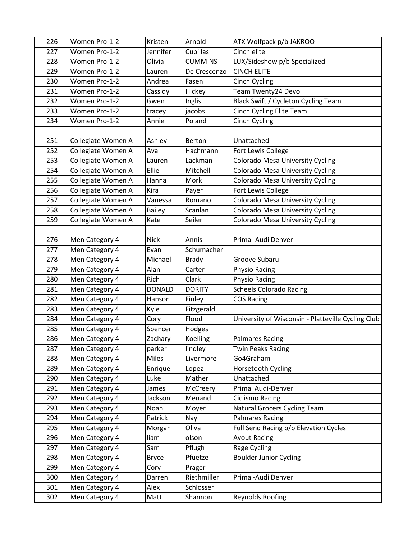| 226 | Women Pro-1-2      | Kristen       | Arnold         | ATX Wolfpack p/b JAKROO                            |
|-----|--------------------|---------------|----------------|----------------------------------------------------|
| 227 | Women Pro-1-2      | Jennifer      | Cubillas       | Cinch elite                                        |
| 228 | Women Pro-1-2      | Olivia        | <b>CUMMINS</b> | LUX/Sideshow p/b Specialized                       |
| 229 | Women Pro-1-2      | Lauren        | De Crescenzo   | <b>CINCH ELITE</b>                                 |
| 230 | Women Pro-1-2      | Andrea        | Fasen          | <b>Cinch Cycling</b>                               |
| 231 | Women Pro-1-2      | Cassidy       | Hickey         | Team Twenty24 Devo                                 |
| 232 | Women Pro-1-2      | Gwen          | Inglis         | Black Swift / Cycleton Cycling Team                |
| 233 | Women Pro-1-2      | tracey        | jacobs         | <b>Cinch Cycling Elite Team</b>                    |
| 234 | Women Pro-1-2      | Annie         | Poland         | <b>Cinch Cycling</b>                               |
|     |                    |               |                |                                                    |
| 251 | Collegiate Women A | Ashley        | Berton         | Unattached                                         |
| 252 | Collegiate Women A | Ava           | Hachmann       | Fort Lewis College                                 |
| 253 | Collegiate Women A | Lauren        | Lackman        | Colorado Mesa University Cycling                   |
| 254 | Collegiate Women A | Ellie         | Mitchell       | <b>Colorado Mesa University Cycling</b>            |
| 255 | Collegiate Women A | Hanna         | Mork           | <b>Colorado Mesa University Cycling</b>            |
| 256 | Collegiate Women A | Kira          | Payer          | Fort Lewis College                                 |
| 257 | Collegiate Women A | Vanessa       | Romano         | <b>Colorado Mesa University Cycling</b>            |
| 258 | Collegiate Women A | <b>Bailey</b> | Scanlan        | Colorado Mesa University Cycling                   |
| 259 | Collegiate Women A | Kate          | Seiler         | Colorado Mesa University Cycling                   |
|     |                    |               |                |                                                    |
| 276 | Men Category 4     | <b>Nick</b>   | Annis          | Primal-Audi Denver                                 |
| 277 | Men Category 4     | Evan          | Schumacher     |                                                    |
| 278 | Men Category 4     | Michael       | <b>Brady</b>   | Groove Subaru                                      |
| 279 | Men Category 4     | Alan          | Carter         | Physio Racing                                      |
| 280 | Men Category 4     | Rich          | Clark          | Physio Racing                                      |
| 281 | Men Category 4     | <b>DONALD</b> | <b>DORITY</b>  | <b>Scheels Colorado Racing</b>                     |
| 282 | Men Category 4     | Hanson        | Finley         | <b>COS Racing</b>                                  |
| 283 | Men Category 4     | Kyle          | Fitzgerald     |                                                    |
| 284 | Men Category 4     | Cory          | Flood          | University of Wisconsin - Platteville Cycling Club |
| 285 | Men Category 4     | Spencer       | Hodges         |                                                    |
| 286 | Men Category 4     | Zachary       | Koelling       | <b>Palmares Racing</b>                             |
| 287 | Men Category 4     | parker        | lindley        | <b>Twin Peaks Racing</b>                           |
| 288 | Men Category 4     | <b>Miles</b>  | Livermore      | Go4Graham                                          |
| 289 | Men Category 4     | Enrique       | Lopez          | Horsetooth Cycling                                 |
| 290 | Men Category 4     | Luke          | Mather         | Unattached                                         |
| 291 | Men Category 4     | James         | McCreery       | Primal Audi-Denver                                 |
| 292 | Men Category 4     | Jackson       | Menand         | Ciclismo Racing                                    |
| 293 | Men Category 4     | Noah          | Moyer          | Natural Grocers Cycling Team                       |
| 294 | Men Category 4     | Patrick       | Nay            | <b>Palmares Racing</b>                             |
| 295 | Men Category 4     | Morgan        | Oliva          | Full Send Racing p/b Elevation Cycles              |
| 296 | Men Category 4     | liam          | olson          | <b>Avout Racing</b>                                |
| 297 | Men Category 4     | Sam           | Pflugh         | Rage Cycling                                       |
| 298 | Men Category 4     | <b>Bryce</b>  | Pfuetze        | <b>Boulder Junior Cycling</b>                      |
| 299 | Men Category 4     | Cory          | Prager         |                                                    |
| 300 | Men Category 4     | Darren        | Riethmiller    | Primal-Audi Denver                                 |
| 301 | Men Category 4     | Alex          | Schlosser      |                                                    |
| 302 | Men Category 4     | Matt          | Shannon        | Reynolds Roofing                                   |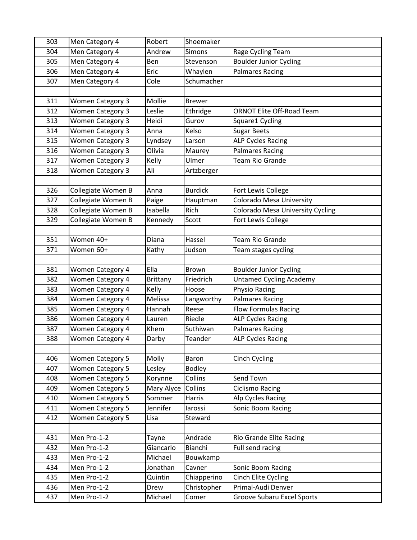| 303 | Men Category 4          | Robert          | Shoemaker      |                                         |
|-----|-------------------------|-----------------|----------------|-----------------------------------------|
| 304 | Men Category 4          | Andrew          | Simons         | Rage Cycling Team                       |
| 305 | Men Category 4          | Ben             | Stevenson      | <b>Boulder Junior Cycling</b>           |
| 306 | Men Category 4          | Eric            | Whaylen        | <b>Palmares Racing</b>                  |
| 307 | Men Category 4          | Cole            | Schumacher     |                                         |
|     |                         |                 |                |                                         |
| 311 | <b>Women Category 3</b> | Mollie          | <b>Brewer</b>  |                                         |
| 312 | <b>Women Category 3</b> | Leslie          | Ethridge       | <b>ORNOT Elite Off-Road Team</b>        |
| 313 | <b>Women Category 3</b> | Heidi           | Gurov          | Square1 Cycling                         |
| 314 | <b>Women Category 3</b> | Anna            | Kelso          | <b>Sugar Beets</b>                      |
| 315 | <b>Women Category 3</b> | Lyndsey         | Larson         | <b>ALP Cycles Racing</b>                |
| 316 | <b>Women Category 3</b> | Olivia          | Maurey         | <b>Palmares Racing</b>                  |
| 317 | <b>Women Category 3</b> | Kelly           | Ulmer          | Team Rio Grande                         |
| 318 | <b>Women Category 3</b> | Ali             | Artzberger     |                                         |
|     |                         |                 |                |                                         |
| 326 | Collegiate Women B      | Anna            | <b>Burdick</b> | Fort Lewis College                      |
| 327 | Collegiate Women B      | Paige           | Hauptman       | Colorado Mesa University                |
| 328 | Collegiate Women B      | Isabella        | Rich           | <b>Colorado Mesa University Cycling</b> |
| 329 | Collegiate Women B      | Kennedy         | Scott          | Fort Lewis College                      |
|     |                         |                 |                |                                         |
| 351 | Women 40+               | Diana           | Hassel         | <b>Team Rio Grande</b>                  |
| 371 | Women 60+               | Kathy           | Judson         | Team stages cycling                     |
|     |                         |                 |                |                                         |
| 381 | <b>Women Category 4</b> | Ella            | <b>Brown</b>   | <b>Boulder Junior Cycling</b>           |
| 382 | <b>Women Category 4</b> | <b>Brittany</b> | Friedrich      | <b>Untamed Cycling Academy</b>          |
| 383 | <b>Women Category 4</b> | Kelly           | Hoose          | Physio Racing                           |
| 384 | Women Category 4        | Melissa         | Langworthy     | <b>Palmares Racing</b>                  |
| 385 | Women Category 4        | Hannah          | Reese          | <b>Flow Formulas Racing</b>             |
| 386 | <b>Women Category 4</b> | Lauren          | Riedle         | <b>ALP Cycles Racing</b>                |
| 387 | <b>Women Category 4</b> | Khem            | Suthiwan       | <b>Palmares Racing</b>                  |
| 388 | <b>Women Category 4</b> | Darby           | Teander        | <b>ALP Cycles Racing</b>                |
|     |                         |                 |                |                                         |
| 406 | <b>Women Category 5</b> | Molly           | Baron          | <b>Cinch Cycling</b>                    |
| 407 | <b>Women Category 5</b> | Lesley          | <b>Bodley</b>  |                                         |
| 408 | <b>Women Category 5</b> | Korynne         | Collins        | Send Town                               |
| 409 | <b>Women Category 5</b> | Mary Alyce      | Collins        | <b>Ciclismo Racing</b>                  |
| 410 | <b>Women Category 5</b> | Sommer          | Harris         | Alp Cycles Racing                       |
| 411 | <b>Women Category 5</b> | Jennifer        | larossi        | Sonic Boom Racing                       |
| 412 | Women Category 5        | Lisa            | Steward        |                                         |
|     |                         |                 |                |                                         |
| 431 | Men Pro-1-2             | Tayne           | Andrade        | Rio Grande Elite Racing                 |
| 432 | Men Pro-1-2             | Giancarlo       | Bianchi        | Full send racing                        |
| 433 | Men Pro-1-2             | Michael         | Bouwkamp       |                                         |
| 434 | Men Pro-1-2             | Jonathan        | Cavner         | Sonic Boom Racing                       |
| 435 | Men Pro-1-2             | Quintin         | Chiapperino    | Cinch Elite Cycling                     |
| 436 | Men Pro-1-2             | Drew            | Christopher    | Primal-Audi Denver                      |
| 437 | Men Pro-1-2             | Michael         | Comer          | <b>Groove Subaru Excel Sports</b>       |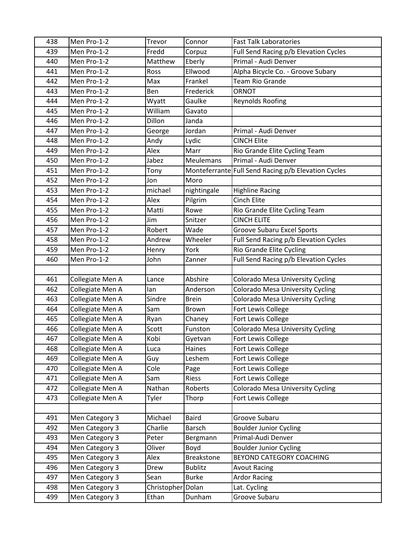| 438 | Men Pro-1-2      | Trevor            | Connor            | <b>Fast Talk Laboratories</b>                       |
|-----|------------------|-------------------|-------------------|-----------------------------------------------------|
| 439 | Men Pro-1-2      | Fredd             | Corpuz            | Full Send Racing p/b Elevation Cycles               |
| 440 | Men Pro-1-2      | Matthew           | Eberly            | Primal - Audi Denver                                |
| 441 | Men Pro-1-2      | Ross              | Ellwood           | Alpha Bicycle Co. - Groove Subary                   |
| 442 | Men Pro-1-2      | Max               | Frankel           | <b>Team Rio Grande</b>                              |
| 443 | Men Pro-1-2      | Ben               | Frederick         | ORNOT                                               |
| 444 | Men Pro-1-2      | Wyatt             | Gaulke            | <b>Reynolds Roofing</b>                             |
| 445 | Men Pro-1-2      | William           | Gavato            |                                                     |
| 446 | Men Pro-1-2      | Dillon            | Janda             |                                                     |
| 447 | Men Pro-1-2      | George            | Jordan            | Primal - Audi Denver                                |
| 448 | Men Pro-1-2      | Andy              | Lydic             | <b>CINCH Elite</b>                                  |
| 449 | Men Pro-1-2      | Alex              | Marr              | Rio Grande Elite Cycling Team                       |
| 450 | Men Pro-1-2      | Jabez             | <b>Meulemans</b>  | Primal - Audi Denver                                |
| 451 | Men Pro-1-2      | Tony              |                   | Monteferrante Full Send Racing p/b Elevation Cycles |
| 452 | Men Pro-1-2      | Jon               | Moro              |                                                     |
| 453 | Men Pro-1-2      | michael           | nightingale       | <b>Highline Racing</b>                              |
| 454 | Men Pro-1-2      | Alex              | Pilgrim           | <b>Cinch Elite</b>                                  |
| 455 | Men Pro-1-2      | Matti             | Rowe              | Rio Grande Elite Cycling Team                       |
| 456 | Men Pro-1-2      | Jim               | Snitzer           | <b>CINCH ELITE</b>                                  |
| 457 | Men Pro-1-2      | Robert            | Wade              | <b>Groove Subaru Excel Sports</b>                   |
| 458 | Men Pro-1-2      | Andrew            | Wheeler           | Full Send Racing p/b Elevation Cycles               |
| 459 | Men Pro-1-2      | Henry             | York              | Rio Grande Elite Cycling                            |
| 460 | Men Pro-1-2      | John              | Zanner            | Full Send Racing p/b Elevation Cycles               |
|     |                  |                   |                   |                                                     |
| 461 | Collegiate Men A | Lance             | Abshire           | Colorado Mesa University Cycling                    |
| 462 | Collegiate Men A | lan               | Anderson          | <b>Colorado Mesa University Cycling</b>             |
| 463 | Collegiate Men A | Sindre            | <b>Brein</b>      | Colorado Mesa University Cycling                    |
| 464 | Collegiate Men A | Sam               | <b>Brown</b>      | Fort Lewis College                                  |
| 465 | Collegiate Men A | Ryan              | Chaney            | Fort Lewis College                                  |
| 466 | Collegiate Men A | Scott             | Funston           | <b>Colorado Mesa University Cycling</b>             |
| 467 | Collegiate Men A | Kobi              | Gyetvan           | Fort Lewis College                                  |
| 468 | Collegiate Men A | Luca              | Haines            | Fort Lewis College                                  |
| 469 | Collegiate Men A | Guy               | Leshem            | Fort Lewis College                                  |
| 470 | Collegiate Men A | Cole              | Page              | Fort Lewis College                                  |
| 471 | Collegiate Men A | Sam               | Riess             | Fort Lewis College                                  |
| 472 | Collegiate Men A | Nathan            | Roberts           | <b>Colorado Mesa University Cycling</b>             |
| 473 | Collegiate Men A | Tyler             | Thorp             | Fort Lewis College                                  |
|     |                  |                   |                   |                                                     |
| 491 | Men Category 3   | Michael           | <b>Baird</b>      | Groove Subaru                                       |
| 492 | Men Category 3   | Charlie           | <b>Barsch</b>     | <b>Boulder Junior Cycling</b>                       |
| 493 | Men Category 3   | Peter             | Bergmann          | Primal-Audi Denver                                  |
| 494 | Men Category 3   | Oliver            | Boyd              | <b>Boulder Junior Cycling</b>                       |
| 495 | Men Category 3   | Alex              | <b>Breakstone</b> | BEYOND CATEGORY COACHING                            |
| 496 | Men Category 3   | Drew              | <b>Bublitz</b>    | <b>Avout Racing</b>                                 |
| 497 | Men Category 3   | Sean              | <b>Burke</b>      | <b>Ardor Racing</b>                                 |
| 498 | Men Category 3   | Christopher Dolan |                   | Lat. Cycling                                        |
| 499 | Men Category 3   | Ethan             | Dunham            | Groove Subaru                                       |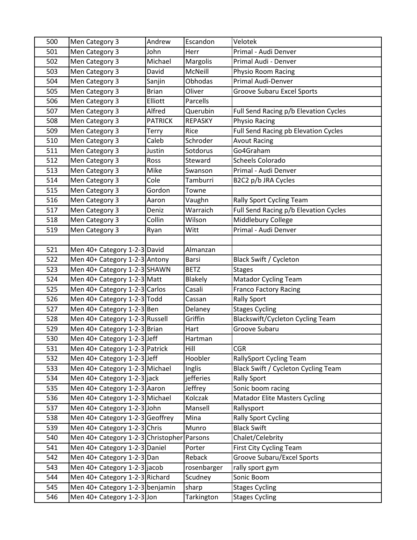| 500 | Men Category 3                             | Andrew         | Escandon       | Velotek                                 |
|-----|--------------------------------------------|----------------|----------------|-----------------------------------------|
| 501 | Men Category 3                             | John           | Herr           | Primal - Audi Denver                    |
| 502 | Men Category 3                             | Michael        | Margolis       | Primal Audi - Denver                    |
| 503 | Men Category 3                             | David          | McNeill        | Physio Room Racing                      |
| 504 | Men Category 3                             | Sanjin         | Obhodas        | Primal Audi-Denver                      |
| 505 | Men Category 3                             | <b>Brian</b>   | Oliver         | <b>Groove Subaru Excel Sports</b>       |
| 506 | Men Category 3                             | Elliott        | Parcells       |                                         |
| 507 | Men Category 3                             | Alfred         | Querubin       | Full Send Racing p/b Elevation Cycles   |
| 508 | Men Category 3                             | <b>PATRICK</b> | <b>REPASKY</b> | Physio Racing                           |
| 509 | Men Category 3                             | Terry          | Rice           | Full Send Racing pb Elevation Cycles    |
| 510 | Men Category 3                             | Caleb          | Schroder       | <b>Avout Racing</b>                     |
| 511 | Men Category 3                             | Justin         | Sotdorus       | Go4Graham                               |
| 512 | Men Category 3                             | Ross           | Steward        | Scheels Colorado                        |
| 513 | Men Category 3                             | Mike           | Swanson        | Primal - Audi Denver                    |
| 514 | Men Category 3                             | Cole           | Tamburri       | B2C2 p/b JRA Cycles                     |
| 515 | Men Category 3                             | Gordon         | Towne          |                                         |
| 516 | Men Category 3                             | Aaron          | Vaughn         | Rally Sport Cycling Team                |
| 517 | Men Category 3                             | Deniz          | Warraich       | Full Send Racing p/b Elevation Cycles   |
| 518 | Men Category 3                             | Collin         | Wilson         | Middlebury College                      |
| 519 | Men Category 3                             | Ryan           | Witt           | Primal - Audi Denver                    |
|     |                                            |                |                |                                         |
| 521 | Men 40+ Category 1-2-3 David               |                | Almanzan       |                                         |
| 522 | Men 40+ Category 1-2-3 Antony              |                | Barsi          | Black Swift / Cycleton                  |
| 523 | Men 40+ Category 1-2-3 SHAWN               |                | <b>BETZ</b>    | <b>Stages</b>                           |
| 524 | Men 40+ Category 1-2-3 Matt                |                | <b>Blakely</b> | <b>Matador Cycling Team</b>             |
| 525 | Men 40+ Category 1-2-3 Carlos              |                | Casali         | <b>Franco Factory Racing</b>            |
| 526 | Men 40+ Category 1-2-3 Todd                |                | Cassan         | <b>Rally Sport</b>                      |
| 527 | Men 40+ Category 1-2-3 Ben                 |                | Delaney        | <b>Stages Cycling</b>                   |
| 528 | Men 40+ Category 1-2-3 Russell             |                | Griffin        | <b>Blackswift/Cycleton Cycling Team</b> |
| 529 | Men 40+ Category 1-2-3 Brian               |                | Hart           | Groove Subaru                           |
| 530 | Men 40+ Category 1-2-3 Jeff                |                | Hartman        |                                         |
| 531 | Men 40+ Category 1-2-3 Patrick             |                | Hill           | <b>CGR</b>                              |
| 532 | Men 40+ Category 1-2-3 Jeff                |                | Hoobler        | <b>RallySport Cycling Team</b>          |
| 533 | Men 40+ Category 1-2-3 Michael             |                | Inglis         | Black Swift / Cycleton Cycling Team     |
| 534 | Men 40+ Category 1-2-3 jack                |                | jefferies      | <b>Rally Sport</b>                      |
| 535 | Men 40+ Category 1-2-3 Aaron               |                | Jeffrey        | Sonic boom racing                       |
| 536 | Men 40+ Category 1-2-3 Michael             |                | Kolczak        | <b>Matador Elite Masters Cycling</b>    |
| 537 | Men 40+ Category 1-2-3 John                |                | Mansell        | Rallysport                              |
| 538 | Men 40+ Category 1-2-3 Geoffrey            |                | Mina           | <b>Rally Sport Cycling</b>              |
| 539 | Men 40+ Category 1-2-3 Chris               |                | Munro          | <b>Black Swift</b>                      |
| 540 | Men 40+ Category 1-2-3 Christopher Parsons |                |                | Chalet/Celebrity                        |
| 541 | Men 40+ Category 1-2-3 Daniel              |                | Porter         | First City Cycling Team                 |
| 542 | Men 40+ Category 1-2-3 Dan                 |                | Reback         | <b>Groove Subaru/Excel Sports</b>       |
| 543 | Men 40+ Category 1-2-3 jacob               |                | rosenbarger    | rally sport gym                         |
| 544 | Men 40+ Category 1-2-3 Richard             |                | Scudney        | Sonic Boom                              |
| 545 | Men 40+ Category 1-2-3 benjamin            |                | sharp          | <b>Stages Cycling</b>                   |
| 546 | Men 40+ Category 1-2-3 Jon                 |                | Tarkington     | <b>Stages Cycling</b>                   |